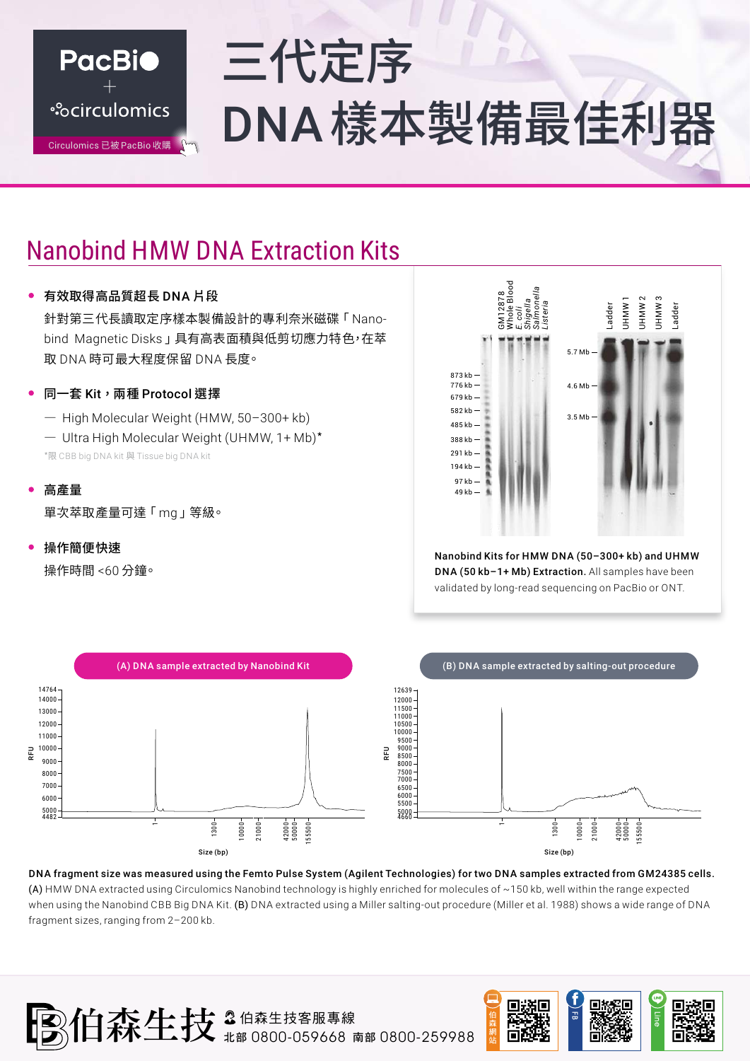

# 三代定序 \*Scirculomics DNA樣本製備最佳利器

## Nanobind HMW DNA Extraction Kits

#### 有效取得高品質超長 DNA 片段

針對第三代⻑讀取定序樣本製備設計的專利奈⽶磁碟「 Nanobind Magnetic Disks 」具有高表面積與低剪切應力特色,在萃 取 DNA 時可最大程度保留 DNA 長度。

- 同一套 Kit,画種 Protocol 選擇
	- ― High Molecular Weight (HMW, 50–300+ kb)
	- ― Ultra High Molecular Weight (UHMW, 1+ Mb)\*
	- \*限 CBB big DNA kit 與 Tissue big DNA kit
- 高產量

單次萃取產量可達「 mg 」等級。

操作簡便快速

操作時間 <60 分鐘。



Nanobind Kits for HMW DNA (50–300+ kb) and UHMW DNA (50 kb–1+ Mb) Extraction. All samples have been validated by long-read sequencing on PacBio or ONT.



DNA fragment size was measured using the Femto Pulse System (Agilent Technologies) for two DNA samples extracted from GM24385 cells. (A) HMW DNA extracted using Circulomics Nanobind technology is highly enriched for molecules of ~150 kb, well within the range expected when using the Nanobind CBB Big DNA Kit. (B) DNA extracted using a Miller salting-out procedure (Miller et al. 1988) shows a wide range of DNA fragment sizes, ranging from 2–200 kb.